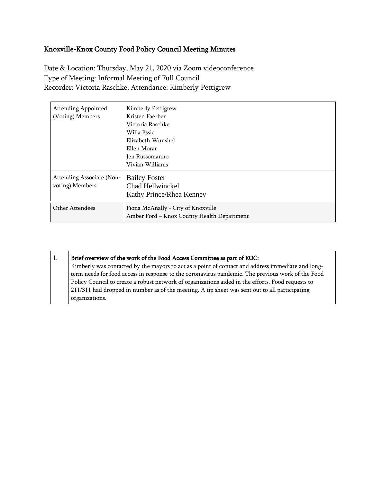## Knoxville-Knox County Food Policy Council Meeting Minutes

Date & Location: Thursday, May 21, 2020 via Zoom videoconference Type of Meeting: Informal Meeting of Full Council Recorder: Victoria Raschke, Attendance: Kimberly Pettigrew

| <b>Attending Appointed</b><br>(Voting) Members | Kimberly Pettigrew<br>Kristen Faerber<br>Victoria Raschke<br>Willa Essie<br>Elizabeth Wunshel<br>Ellen Morar<br>Jen Russomanno |
|------------------------------------------------|--------------------------------------------------------------------------------------------------------------------------------|
| Attending Associate (Non-<br>voting) Members   | Vivian Williams<br><b>Bailey Foster</b><br>Chad Hellwinckel<br>Kathy Prince/Rhea Kenney                                        |
| Other Attendees                                | Fiona McAnally - City of Knoxville<br>Amber Ford - Knox County Health Department                                               |

| Brief overview of the work of the Food Access Committee as part of EOC:                           |
|---------------------------------------------------------------------------------------------------|
| Kimberly was contacted by the mayors to act as a point of contact and address immediate and long- |
| term needs for food access in response to the coronavirus pandemic. The previous work of the Food |
| Policy Council to create a robust network of organizations aided in the efforts. Food requests to |
| 211/311 had dropped in number as of the meeting. A tip sheet was sent out to all participating    |
| organizations.                                                                                    |
|                                                                                                   |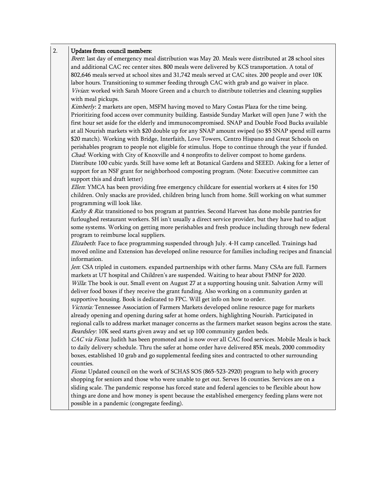## 2. Updates from council members:

Brett: last day of emergency meal distribution was May 20. Meals were distributed at 28 school sites and additional CAC rec center sites. 800 meals were delivered by KCS transportation. A total of 802,646 meals served at school sites and 31,742 meals served at CAC sites. 200 people and over 10K labor hours. Transitioning to summer feeding through CAC with grab and go waiver in place. Vivian: worked with Sarah Moore Green and a church to distribute toiletries and cleaning supplies with meal pickups.

Kimberly: 2 markets are open, MSFM having moved to Mary Costas Plaza for the time being. Prioritizing food access over community building. Eastside Sunday Market will open June 7 with the first hour set aside for the elderly and immunocompromised. SNAP and Double Food Bucks available at all Nourish markets with \$20 double up for any SNAP amount swiped (so \$5 SNAP spend still earns \$20 match). Working with Bridge, Interfaith, Love Towers, Centro Hispano and Great Schools on perishables program to people not eligible for stimulus. Hope to continue through the year if funded. Chad: Working with City of Knoxville and 4 nonprofits to deliver compost to home gardens. Distribute 100 cubic yards. Still have some left at Botanical Gardens and SEEED. Asking for a letter of support for an NSF grant for neighborhood composting program. (Note: Executive committee can support this and draft letter)

Ellen: YMCA has been providing free emergency childcare for essential workers at 4 sites for 150 children. Only snacks are provided, children bring lunch from home. Still working on what summer programming will look like.

Kathy & Ria: transitioned to box program at pantries. Second Harvest has done mobile pantries for furloughed restaurant workers. SH isn't usually a direct service provider, but they have had to adjust some systems. Working on getting more perishables and fresh produce including through new federal program to reimburse local suppliers.

Elizabeth: Face to face programming suspended through July. 4-H camp cancelled. Trainings had moved online and Extension has developed online resource for families including recipes and financial information.

Jen: CSA tripled in customers. expanded partnerships with other farms. Many CSAs are full. Farmers markets at UT hospital and Children's are suspended. Waiting to hear about FMNP for 2020. Willa: The book is out. Small event on August 27 at a supporting housing unit. Salvation Army will deliver food boxes if they receive the grant funding. Also working on a community garden at supportive housing. Book is dedicated to FPC. Will get info on how to order.

Victoria: Tennessee Association of Farmers Markets developed online resource page for markets already opening and opening during safer at home orders, highlighting Nourish. Participated in regional calls to address market manager concerns as the farmers market season begins across the state. Beardsley: 10K seed starts given away and set up 100 community garden beds.

CAC via Fiona: Judith has been promoted and is now over all CAC food services. Mobile Meals is back to daily delivery schedule. Thru the safer at home order have delivered 85K meals, 2000 commodity boxes, established 10 grab and go supplemental feeding sites and contracted to other surrounding counties.

Fiona: Updated council on the work of SCHAS SOS (865-523-2920) program to help with grocery shopping for seniors and those who were unable to get out. Serves 16 counties. Services are on a sliding scale. The pandemic response has forced state and federal agencies to be flexible about how things are done and how money is spent because the established emergency feeding plans were not possible in a pandemic (congregate feeding).